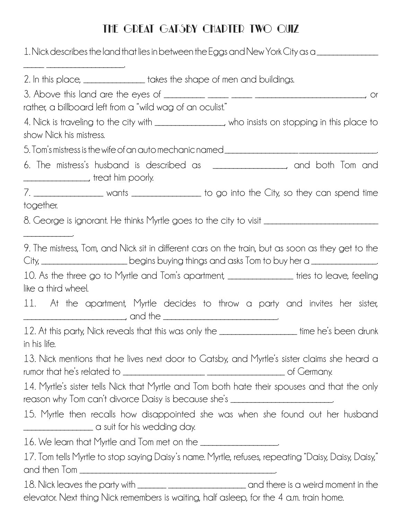## The Great Gatsby Chapter Two Quiz

|                                                                             | 1. Nick describes the land that lies in between the Eggs and New York City as a                                                                                                                          |
|-----------------------------------------------------------------------------|----------------------------------------------------------------------------------------------------------------------------------------------------------------------------------------------------------|
| 2. In this place, ________________ takes the shape of men and buildings.    |                                                                                                                                                                                                          |
|                                                                             |                                                                                                                                                                                                          |
| rather, a billboard left from a "wild wag of an oculist."                   |                                                                                                                                                                                                          |
|                                                                             | 4. Nick is traveling to the city with _______________, who insists on stopping in this place to                                                                                                          |
| show Nick his mistress.                                                     |                                                                                                                                                                                                          |
|                                                                             | 5. Tom's mistress is the wife of an auto mechanic named ________________________                                                                                                                         |
|                                                                             | 6. The mistress's husband is described as _________________, and both Tom and                                                                                                                            |
|                                                                             | 7. ___________________ wants _________________ to go into the City, so they can spend time                                                                                                               |
| together.                                                                   |                                                                                                                                                                                                          |
|                                                                             | 8. George is ignorant. He thinks Myrtle goes to the city to visit ______________________                                                                                                                 |
|                                                                             | 9. The mistress, Tom, and Nick sit in different cars on the train, but as soon as they get to the<br>City, ________________________begins buying things and asks Tom to buy her a ______________________ |
| like a third wheel.                                                         | 10. As the three go to Myrtle and Tom's apartment, _______________ tries to leave, feeling                                                                                                               |
|                                                                             | 11. At the apartment, Myrtle decides to throw a party and invites her sister,                                                                                                                            |
| in his life.                                                                | 12. At this party, Nick reveals that this was only the ___________________ time he's been drunk                                                                                                          |
|                                                                             | 13. Nick mentions that he lives next door to Gatsby, and Myrtle's sister claims she heard a                                                                                                              |
|                                                                             | 14. Myrtle's sister tells Nick that Myrtle and Tom both hate their spouses and that the only<br>reason why Tom can't divorce Daisy is because she's ____________________________                         |
|                                                                             | 15. Myrtle then recalls how disappointed she was when she found out her husband                                                                                                                          |
| 16. We learn that Myrtle and Tom met on the <b><i>_________________</i></b> |                                                                                                                                                                                                          |
|                                                                             | 17. Tom tells Myrtle to stop saying Daisy's name. Myrtle, refuses, repeating "Daisy, Daisy, Daisy,"                                                                                                      |
|                                                                             |                                                                                                                                                                                                          |
|                                                                             | elevator. Next thing Nick remembers is waiting, half asleep, for the 4 a.m. train home.                                                                                                                  |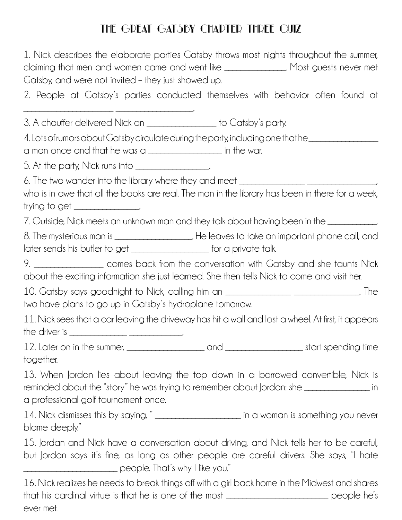## THE GREAT GATSBY CHADTER THREE QUIZ

| 1. Nick describes the elaborate parties Gatsby throws most nights throughout the summer,<br>claiming that men and women came and went like _______________. Most guests never met<br>Catsby, and were not invited - they just showed up.                   |
|------------------------------------------------------------------------------------------------------------------------------------------------------------------------------------------------------------------------------------------------------------|
| 2. People at Gatsby's parties conducted themselves with behavior often found at                                                                                                                                                                            |
| 3. A chauffer delivered Nick an ________________ to Catsby's party.                                                                                                                                                                                        |
| 4. Lots of rumors about Gatsby circulate during the party, including one that he __________________<br>$\alpha$ man once and that he was $\alpha$ ______________________ in the war.                                                                       |
| 5. At the party, Nick runs into ___________________                                                                                                                                                                                                        |
| 6. The two wander into the library where they and meet <b>constantly and the two wander</b> into<br>who is in awe that all the books are real. The man in the library has been in there for a week,<br>trying to get $\frac{1}{2}$                         |
| 7. Outside, Nick meets an unknown man and they talk about having been in the ___________                                                                                                                                                                   |
| later sends his butler to get ____________________ for a private talk.                                                                                                                                                                                     |
| 9. __________________ comes back from the conversation with Gatsby and she taunts Nick<br>about the exciting information she just learned. She then tells Nick to come and visit her.                                                                      |
| 10. Gatsby says goodnight to Nick, calling him an _______________________________. The<br>two have plans to go up in Gatsby's hydroplane tomorrow.                                                                                                         |
| 11. Nick sees that a car leaving the driveway has hit a wall and lost a wheel. At first, it appears                                                                                                                                                        |
| together.                                                                                                                                                                                                                                                  |
| 13. When Jordan lies about leaving the top down in a borrowed convertible, Nick is<br>reminded about the "story" he was trying to remember about Jordan: she _________________ in<br>a professional golf tournament once.                                  |
| 14. Nick dismisses this by saying, " <sub>_____________________</sub> in a woman is something you never<br>blame deeply."                                                                                                                                  |
| 15. Jordan and Nick have a conversation about driving, and Nick tells her to be careful,<br>but Jordan says it's fine, as long as other people are careful drivers. She says, "I hate<br>_________________________________ people. That's why I like you." |
| 16. Nick realizes he needs to break things off with a girl back home in the Midwest and shares<br>that his cardinal virtue is that he is one of the most _________________________ people he's                                                             |

ever met.